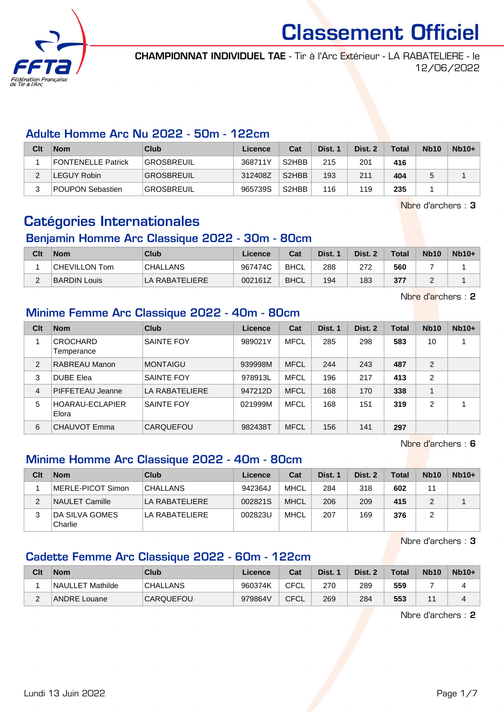

CHAMPIONNAT INDIVIDUEL TAE - Tir à l'Arc Extérieur - LA RABATELIERE - le 12/06/2022

#### Adulte Homme Arc Nu 2022 - 50m - 122cm

| Clt    | <b>Nom</b>                | Club              | Licence | Cat                            | Dist. 1 | Dist. 2 | <b>Total</b> | <b>Nb10</b> | $Nb10+$ |
|--------|---------------------------|-------------------|---------|--------------------------------|---------|---------|--------------|-------------|---------|
|        | <b>FONTENELLE Patrick</b> | <b>GROSBREUIL</b> | 368711Y | S <sub>2</sub> HB <sub>B</sub> | 215     | 201     | 416          |             |         |
| $\sim$ | LEGUY Robin               | <b>GROSBREUIL</b> | 312408Z | S <sub>2</sub> HBB             | 193     | 211     | 404          |             |         |
| ว      | <b>POUPON Sebastien</b>   | <b>GROSBREUIL</b> | 965739S | S2HBB                          | 116     | 119     | 235          |             |         |

Nbre d'archers : 3

### Catégories Internationales

### Benjamin Homme Arc Classique 2022 - 30m - 80cm

| Clt | <b>Nom</b>          | Club            | Licence | Cat         | Dist. 1 | Dist. 2 | <b>Total</b> | <b>Nb10</b> | $Nb10+$ |
|-----|---------------------|-----------------|---------|-------------|---------|---------|--------------|-------------|---------|
|     | CHEVILLON Tom       | <b>CHALLANS</b> | 967474C | BHCL        | 288     | 272     | 560          |             |         |
|     | <b>BARDIN Louis</b> | LA RABATELIERE  | 002161Z | <b>BHCL</b> | 194     | 183     | 377          |             |         |

Nbre d'archers : 2

#### Minime Femme Arc Classique 2022 - 40m - 80cm

| Clt            | <b>Nom</b>                      | Club              | Licence | Cat         | Dist. 1 | Dist. 2 | <b>Total</b> | <b>Nb10</b>    | $Nb10+$ |
|----------------|---------------------------------|-------------------|---------|-------------|---------|---------|--------------|----------------|---------|
|                | <b>CROCHARD</b><br>Temperance   | <b>SAINTE FOY</b> | 989021Y | <b>MFCL</b> | 285     | 298     | 583          | 10             |         |
| 2              | RABREAU Manon                   | <b>MONTAIGU</b>   | 939998M | <b>MFCL</b> | 244     | 243     | 487          | 2              |         |
| 3              | <b>DUBE Elea</b>                | <b>SAINTE FOY</b> | 978913L | <b>MFCL</b> | 196     | 217     | 413          | $\overline{2}$ |         |
| $\overline{4}$ | PIFFETEAU Jeanne                | LA RABATELIERE    | 947212D | <b>MFCL</b> | 168     | 170     | 338          |                |         |
| 5              | <b>HOARAU-ECLAPIER</b><br>Elora | SAINTE FOY        | 021999M | <b>MFCL</b> | 168     | 151     | 319          | $\overline{2}$ |         |
| 6              | CHAUVOT Emma                    | CARQUEFOU         | 982438T | <b>MFCL</b> | 156     | 141     | 297          |                |         |

Nbre d'archers : 6

### Minime Homme Arc Classique 2022 - 40m - 80cm

| Clt | <b>Nom</b>                | Club            | Licence | Cat         | Dist. 1 | Dist. 2 | Total | <b>Nb10</b> | $Nb10+$ |
|-----|---------------------------|-----------------|---------|-------------|---------|---------|-------|-------------|---------|
|     | MERLE-PICOT Simon         | <b>CHALLANS</b> | 942364J | MHCL        | 284     | 318     | 602   |             |         |
| っ   | NAULET Camille            | LA RABATELIERE  | 002821S | <b>MHCL</b> | 206     | 209     | 415   |             |         |
|     | DA SILVA GOMES<br>Charlie | LA RABATELIERE  | 002823U | MHCL        | 207     | 169     | 376   |             |         |

Nbre d'archers : 3

### Cadette Femme Arc Classique 2022 - 60m - 122cm

| Clt | <b>Nom</b>          | Club             | Licence | Cat  | Dist. | Dist. 2 | <b>Total</b> | <b>Nb10</b> | $Nb10+$ |
|-----|---------------------|------------------|---------|------|-------|---------|--------------|-------------|---------|
|     | NAULLET Mathilde    | <b>CHALLANS</b>  | 960374K | CFCL | 270   | 289     | 559          |             |         |
| ີ   | <b>ANDRE Louane</b> | <b>CARQUEFOU</b> | 979864V | CFCL | 269   | 284     | 553          |             |         |

Nbre d'archers : 2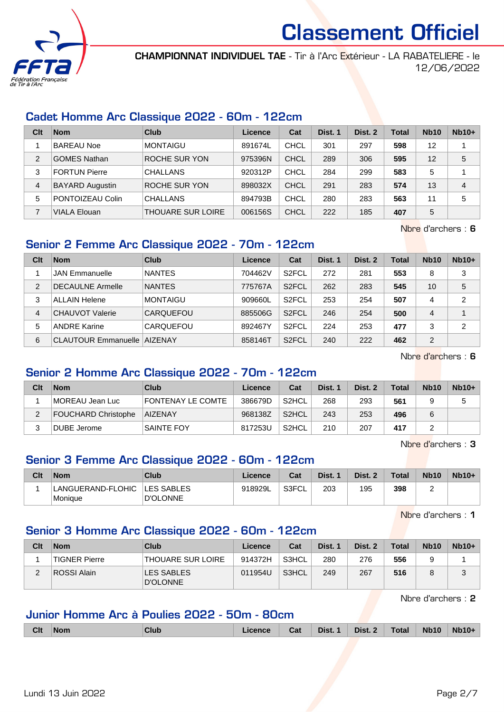

CHAMPIONNAT INDIVIDUEL TAE - Tir à l'Arc Extérieur - LA RABATELIERE - le 12/06/2022

#### Cadet Homme Arc Classique 2022 - 60m - 122cm

| Clt | <b>Nom</b>             | Club                     | Licence | Cat         | Dist. 1 | Dist. 2 | Total | <b>Nb10</b> | $Nb10+$ |
|-----|------------------------|--------------------------|---------|-------------|---------|---------|-------|-------------|---------|
|     | <b>BAREAU Noe</b>      | <b>MONTAIGU</b>          | 891674L | CHCL        | 301     | 297     | 598   | 12          |         |
| 2   | <b>GOMES Nathan</b>    | <b>ROCHE SUR YON</b>     | 975396N | CHCL        | 289     | 306     | 595   | 12          | 5       |
| 3   | <b>FORTUN Pierre</b>   | <b>CHALLANS</b>          | 920312P | <b>CHCL</b> | 284     | 299     | 583   | 5           |         |
| 4   | <b>BAYARD Augustin</b> | ROCHE SUR YON            | 898032X | CHCL        | 291     | 283     | 574   | 13          | 4       |
| 5   | PONTOIZEAU Colin       | <b>CHALLANS</b>          | 894793B | CHCL        | 280     | 283     | 563   | 11          | 5       |
|     | <b>VIALA Elouan</b>    | <b>THOUARE SUR LOIRE</b> | 006156S | <b>CHCL</b> | 222     | 185     | 407   | 5           |         |

Nbre d'archers : 6

### Senior 2 Femme Arc Classique 2022 - 70m - 122cm

| Clt            | <b>Nom</b>              | Club            | Licence | Cat                | Dist. 1 | Dist. 2 | Total | <b>Nb10</b>    | $Nb10+$        |
|----------------|-------------------------|-----------------|---------|--------------------|---------|---------|-------|----------------|----------------|
|                | <b>JAN Emmanuelle</b>   | <b>NANTES</b>   | 704462V | S <sub>2</sub> FCL | 272     | 281     | 553   | 8              | 3              |
| $\overline{2}$ | <b>DECAULNE Armelle</b> | <b>NANTES</b>   | 775767A | S <sub>2</sub> FCL | 262     | 283     | 545   | 10             | 5              |
| 3              | <b>ALLAIN Helene</b>    | <b>MONTAIGU</b> | 909660L | S <sub>2</sub> FCL | 253     | 254     | 507   | 4              | $\overline{2}$ |
| 4              | CHAUVOT Valerie         | CARQUEFOU       | 885506G | S <sub>2</sub> FCL | 246     | 254     | 500   | 4              |                |
| 5              | <b>ANDRE Karine</b>     | CARQUEFOU       | 892467Y | S <sub>2</sub> FCL | 224     | 253     | 477   | 3              | $\overline{2}$ |
| 6              | CLAUTOUR Emmanuelle     | <b>AIZENAY</b>  | 858146T | S <sub>2</sub> FCL | 240     | 222     | 462   | $\overline{2}$ |                |

Nbre d'archers : 6

#### Senior 2 Homme Arc Classique 2022 - 70m - 122cm

| Clt | <b>Nom</b>          | Club              | Licence | Cat                | Dist. 1 | Dist. 2 | <b>Total</b> | <b>Nb10</b> | $Nb10+$ |
|-----|---------------------|-------------------|---------|--------------------|---------|---------|--------------|-------------|---------|
|     | MOREAU Jean Luc     | FONTENAY LE COMTE | 386679D | S <sub>2</sub> HCL | 268     | 293     | 561          |             | 5       |
| ∠   | FOUCHARD Christophe | AIZENAY           | 968138Z | S2HCL              | 243     | 253     | 496          |             |         |
|     | DUBE Jerome         | <b>SAINTE FOY</b> | 817253U | S <sub>2</sub> HCL | 210     | 207     | 417          |             |         |

Nbre d'archers : 3

#### Senior 3 Femme Arc Classique 2022 - 60m - 122cm

| Clt | <b>Nom</b>                               | Club            | Licence | Cat   | Dist. 1 | Dist. 2 | Total | <b>Nb10</b> | $Nb10+$ |
|-----|------------------------------------------|-----------------|---------|-------|---------|---------|-------|-------------|---------|
|     | LANGUERAND-FLOHIC ILES SABLES<br>Monique | <b>D'OLONNE</b> | 918929L | S3FCL | 203     | 195     | 398   |             |         |

Nbre d'archers : 1

#### Senior 3 Homme Arc Classique 2022 - 60m - 122cm

| Clt    | <b>Nom</b>    | Club                     | Licence | Cat   | Dist. 1 | Dist. 2 | <b>Total</b> | <b>Nb10</b> | $Nb10+$ |
|--------|---------------|--------------------------|---------|-------|---------|---------|--------------|-------------|---------|
|        | TIGNER Pierre | <b>THOUARE SUR LOIRE</b> | 914372H | S3HCL | 280     | 276     | 556          | 9           |         |
| $\sim$ | ROSSI Alain   | LES SABLES<br>D'OLONNE   | 011954U | S3HCL | 249     | 267     | 516          | 8           | 2<br>ບ  |

Nbre d'archers : 2

### Junior Homme Arc à Poulies 2022 - 50m - 80cm

|  | <b>Clt</b> | <b>Nom</b><br>_____ | Club |  | Cat | Dist. | Dist.<br>------ | Total | <b>Nh10</b><br> | Nh10 |
|--|------------|---------------------|------|--|-----|-------|-----------------|-------|-----------------|------|
|--|------------|---------------------|------|--|-----|-------|-----------------|-------|-----------------|------|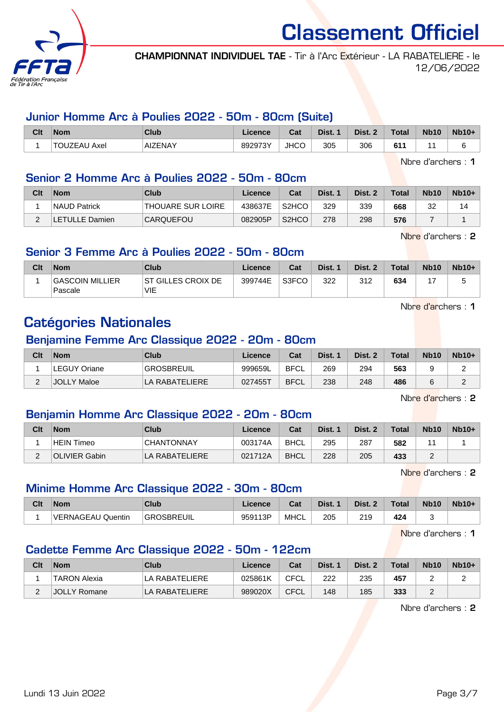

CHAMPIONNAT INDIVIDUEL TAE - Tir à l'Arc Extérieur - LA RABATELIERE - le 12/06/2022

#### Junior Homme Arc à Poulies 2022 - 50m - 80cm (Suite)

| Clt | <b>Nom</b>        | Club    | Licence | <b>Cost</b><br>⊍aι | Dist. | Dist. | <b>Total</b> | <b>Nb10</b> | <b>Nb10+</b> |
|-----|-------------------|---------|---------|--------------------|-------|-------|--------------|-------------|--------------|
|     | TOUZEAU<br>` Axel | AIZENAY | 892973Y | <b>JHCC</b>        | 305   | 306   | 611          |             |              |

Nbre d'archers : 1

#### Senior 2 Homme Arc à Poulies 2022 - 50m - 80cm

| Clt | <b>Nom</b>          | Club                     | Licence | Cat                | Dist. 1 | Dist. 2 | Total | <b>Nb10</b> | $Nb10+$ |
|-----|---------------------|--------------------------|---------|--------------------|---------|---------|-------|-------------|---------|
|     | <b>NAUD Patrick</b> | <b>THOUARE SUR LOIRE</b> | 438637E | S <sub>2</sub> HCO | 329     | 339     | 668   | 32          |         |
|     | LETULLE Damien      | <b>CARQUEFOU</b>         | 082905P | S <sub>2</sub> HCO | 278     | 298     | 576   |             |         |

Nbre d'archers : 2

#### Senior 3 Femme Arc à Poulies 2022 - 50m - 80cm

| Clt | <b>Nom</b>                        | Club                       | Licence | Cat   | Dist. | Dist. 2 | <b>Total</b> | <b>Nb10</b> | $Nb10+$ |
|-----|-----------------------------------|----------------------------|---------|-------|-------|---------|--------------|-------------|---------|
|     | <b>GASCOIN MILLIER</b><br>Pascale | IST GILLES CROIX DE<br>VIE | 399744E | S3FCO | 322   | 312     | 634          |             |         |

Nbre d'archers : 1

## Catégories Nationales

#### Benjamine Femme Arc Classique 2022 - 20m - 80cm

| Clt | <b>Nom</b>          | <b>Club</b>       | Licence | Cat         | Dist. | Dist. 2 | Total | <b>Nb10</b> | $Nb10+$ |
|-----|---------------------|-------------------|---------|-------------|-------|---------|-------|-------------|---------|
|     | <b>LEGUY Oriane</b> | <b>GROSBREUIL</b> | 999659L | <b>BFCL</b> | 269   | 294     | 563   |             |         |
| ⌒   | <b>JOLLY Maloe</b>  | LA RABATELIERE    | 027455T | <b>BFCL</b> | 238   | 248     | 486   |             | $\sim$  |

Nbre d'archers : 2

#### Benjamin Homme Arc Classique 2022 - 20m - 80cm

| Clt | <b>Nom</b>           | <b>Club</b>       | Licence | Cat         | Dist. | Dist. 2 | <b>Total</b> | Nb <sub>10</sub> | $Nb10+$ |
|-----|----------------------|-------------------|---------|-------------|-------|---------|--------------|------------------|---------|
|     | HEIN Timeo           | <b>CHANTONNAY</b> | 003174A | <b>BHCL</b> | 295   | 287     | 582          |                  |         |
| -   | <b>OLIVIER Gabin</b> | LA RABATELIERE    | 021712A | <b>BHCL</b> | 228   | 205     | 433          |                  |         |

Nbre d'archers : 2

#### Minime Homme Arc Classique 2022 - 30m - 80cm

| Clt | <b>Nom</b>        | Club              | Licence | $\sim$<br>⊍d | Dist.     | Dist.     | Total | <b>Nb10</b> | <b>Nb10+</b> |
|-----|-------------------|-------------------|---------|--------------|-----------|-----------|-------|-------------|--------------|
|     | VERNAGEAU Quentin | <b>GROSBREUIL</b> | 959113P | <b>MHCL</b>  | 205<br>__ | 219<br>__ | 424   |             |              |

Nbre d'archers : 1

### Cadette Femme Arc Classique 2022 - 50m - 122cm

| Clt | <b>Nom</b>          | Club           | Licence | Cat         | Dist. 1 | Dist. 2 | <b>Total</b> | <b>Nb10</b> | $Nb10+$ |
|-----|---------------------|----------------|---------|-------------|---------|---------|--------------|-------------|---------|
|     | <b>TARON Alexia</b> | LA RABATELIERE | 025861K | CFCL        | 222     | 235     | 457          |             |         |
| -   | <b>JOLLY Romane</b> | LA RABATELIERE | 989020X | <b>CFCL</b> | 148     | 185     | 333          |             |         |

Nbre d'archers : 2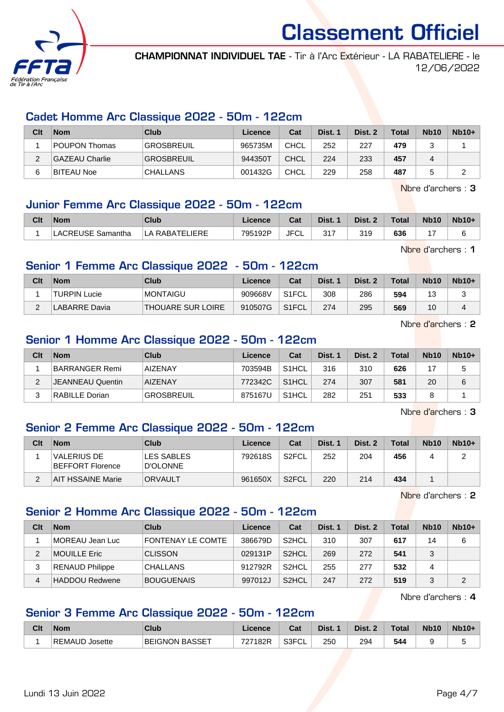

CHAMPIONNAT INDIVIDUEL TAE - Tir à l'Arc Extérieur - LA RABATELIERE - le 12/06/2022

#### Cadet Homme Arc Classique 2022 - 50m - 122cm

| Clt | <b>Nom</b>     | Club              | Licence | Cat         | Dist. 1 | Dist. 2 | Total | <b>Nb10</b> | $Nb10+$ |
|-----|----------------|-------------------|---------|-------------|---------|---------|-------|-------------|---------|
|     | POUPON Thomas  | <b>GROSBREUIL</b> | 965735M | CHCL        | 252     | 227     | 479   |             |         |
|     | GAZEAU Charlie | <b>GROSBREUIL</b> | 944350T | <b>CHCL</b> | 224     | 233     | 457   |             |         |
| 6   | BITEAU Noe     | <b>CHALLANS</b>   | 001432G | <b>CHCL</b> | 229     | 258     | 487   |             |         |

Nbre d'archers : 3

#### Junior Femme Arc Classique 2022 - 50m - 122cm

| Clt | <b>Nom</b>               | Club           |         | Cat  | Dist. | Dist. 2 | Total | <b>Nb10</b> | <b>Nb10+</b> |
|-----|--------------------------|----------------|---------|------|-------|---------|-------|-------------|--------------|
|     | <b>LACREUSE Samantha</b> | LA RABATELIERE | 795192P | JFCL | 317   | 319     | 636   |             |              |

Nbre d'archers : 1

#### Senior 1 Femme Arc Classique 2022 - 50m - 122cm

| Clt    | <b>Nom</b>           | Club               | Licence | Cat                | Dist. 1 | Dist. 2 | <b>Total</b> | <b>Nb10</b> | $Nb10+$ |
|--------|----------------------|--------------------|---------|--------------------|---------|---------|--------------|-------------|---------|
|        | <b>TURPIN Lucie</b>  | <b>MONTAIGU</b>    | 909668V | S1FCL              | 308     | 286     | 594          | 12<br>l v   |         |
| $\sim$ | <b>LABARRE</b> Davia | 'THOUARE SUR LOIRE | 910507G | S <sub>1</sub> FCL | 274     | 295     | 569          | 10          |         |

Nbre d'archers : 2

#### Senior 1 Homme Arc Classique 2022 - 50m - 122cm

| Clt | <b>Nom</b>            | Club              | Licence | Cat                | Dist. 1 | Dist. 2 | <b>Total</b> | <b>Nb10</b> | $Nb10+$ |
|-----|-----------------------|-------------------|---------|--------------------|---------|---------|--------------|-------------|---------|
|     | <b>BARRANGER Remi</b> | <b>AIZENAY</b>    | 703594B | S <sub>1</sub> HCL | 316     | 310     | 626          |             |         |
|     | JEANNEAU Quentin      | <b>AIZENAY</b>    | 772342C | S <sub>1</sub> HCL | 274     | 307     | 581          | 20          | 6       |
| ົ   | RABILLE Dorian        | <b>GROSBREUIL</b> | 875167U | S <sub>1</sub> HCL | 282     | 251     | 533          |             |         |

Nbre d'archers : 3

#### Senior 2 Femme Arc Classique 2022 - 50m - 122cm

| Clt | <b>Nom</b>                      | Club                          | Licence | Cat                | Dist. 1 | Dist. 2 | <b>Total</b> | <b>Nb10</b> | $Nb10+$ |
|-----|---------------------------------|-------------------------------|---------|--------------------|---------|---------|--------------|-------------|---------|
|     | VALERIUS DE<br>BEFFORT Florence | <b>LES SABLES</b><br>D'OLONNE | 792618S | S2FCL              | 252     | 204     | 456          |             |         |
|     | <b>AIT HSSAINE Marie</b>        | ORVAULT                       | 961650X | S <sub>2</sub> FCL | 220     | 214     | 434          |             |         |

Nbre d'archers : 2

#### Senior 2 Homme Arc Classique 2022 - 50m - 122cm

| Clt | <b>Nom</b>             | Club              | Licence | Cat                | Dist. 1 | Dist. 2 | <b>Total</b> | <b>Nb10</b> | $Nb10+$ |
|-----|------------------------|-------------------|---------|--------------------|---------|---------|--------------|-------------|---------|
|     | MOREAU Jean Luc        | FONTENAY LE COMTE | 386679D | S <sub>2</sub> HCL | 310     | 307     | 617          | 14          | 6       |
| っ   | <b>MOUILLE Eric</b>    | <b>CLISSON</b>    | 029131P | S <sub>2</sub> HCL | 269     | 272     | 541          | ર           |         |
| 3   | <b>RENAUD Philippe</b> | <b>CHALLANS</b>   | 912792R | S <sub>2</sub> HCL | 255     | 277     | 532          | 4           |         |
| 4   | <b>HADDOU Redwene</b>  | <b>BOUGUENAIS</b> | 997012J | S <sub>2</sub> HCL | 247     | 272     | 519          |             | っ       |

Nbre d'archers : 4

#### Senior 3 Femme Arc Classique 2022 - 50m - 122cm

| Clt | <b>Nom</b>         | Club           | <b>Licence</b>    | Cat   | Dist. | Dist. | <b>Total</b> | <b>Nb10</b> | $Nb10+$ |
|-----|--------------------|----------------|-------------------|-------|-------|-------|--------------|-------------|---------|
|     | REMAUD<br>√Josette | BEIGNON BASSET | ラヘラ<br>7182R<br>∠ | S3FCL | 250   | 294   | 544          |             |         |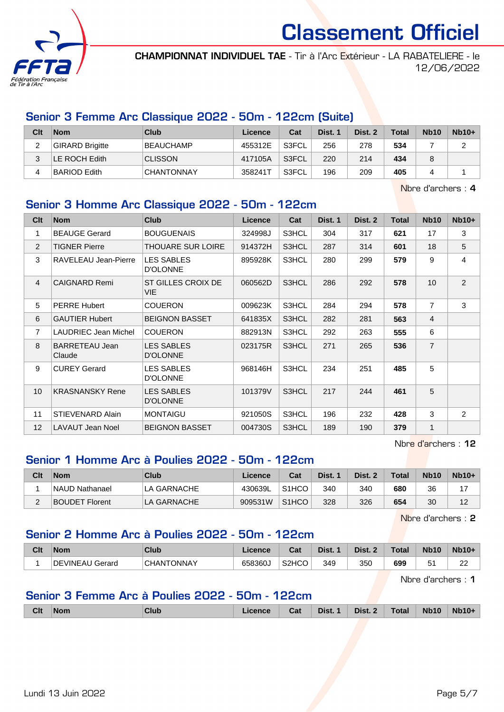

CHAMPIONNAT INDIVIDUEL TAE - Tir à l'Arc Extérieur - LA RABATELIERE - le 12/06/2022

#### Senior 3 Femme Arc Classique 2022 - 50m - 122cm (Suite)

| Clt | <b>Nom</b>             | Club              | Licence | Cat   | Dist. 1 | Dist. 2 | <b>Total</b> | <b>Nb10</b> | $Nb10+$ |
|-----|------------------------|-------------------|---------|-------|---------|---------|--------------|-------------|---------|
| _   | <b>GIRARD Brigitte</b> | <b>BEAUCHAMP</b>  | 455312E | S3FCL | 256     | 278     | 534          |             | ົ<br>▃  |
|     | LE ROCH Edith          | <b>CLISSON</b>    | 417105A | S3FCL | 220     | 214     | 434          | 8           |         |
|     | <b>BARIOD Edith</b>    | <b>CHANTONNAY</b> | 358241T | S3FCL | 196     | 209     | 405          |             |         |

Nbre d'archers : 4

#### Senior 3 Homme Arc Classique 2022 - 50m - 122cm

| Clt            | <b>Nom</b>                  | <b>Club</b>                          | Licence | Cat   | Dist. 1 | Dist. 2 | <b>Total</b> | <b>Nb10</b>    | $Nb10+$        |
|----------------|-----------------------------|--------------------------------------|---------|-------|---------|---------|--------------|----------------|----------------|
| 1              | <b>BEAUGE Gerard</b>        | <b>BOUGUENAIS</b>                    | 324998J | S3HCL | 304     | 317     | 621          | 17             | 3              |
| $\overline{2}$ | <b>TIGNER Pierre</b>        | <b>THOUARE SUR LOIRE</b>             | 914372H | S3HCL | 287     | 314     | 601          | 18             | 5              |
| 3              | RAVELEAU Jean-Pierre        | <b>LES SABLES</b><br><b>D'OLONNE</b> | 895928K | S3HCL | 280     | 299     | 579          | 9              | 4              |
| $\overline{4}$ | <b>CAIGNARD Remi</b>        | ST GILLES CROIX DE<br>VIE.           | 060562D | S3HCL | 286     | 292     | 578          | 10             | $\overline{2}$ |
| 5              | <b>PERRE Hubert</b>         | <b>COUERON</b>                       | 009623K | S3HCL | 284     | 294     | 578          | $\overline{7}$ | 3              |
| 6              | <b>GAUTIER Hubert</b>       | <b>BEIGNON BASSET</b>                | 641835X | S3HCL | 282     | 281     | 563          | $\overline{4}$ |                |
| $\overline{7}$ | <b>LAUDRIEC Jean Michel</b> | <b>COUERON</b>                       | 882913N | S3HCL | 292     | 263     | 555          | 6              |                |
| 8              | BARRETEAU Jean<br>Claude    | <b>LES SABLES</b><br><b>D'OLONNE</b> | 023175R | S3HCL | 271     | 265     | 536          | $\overline{7}$ |                |
| 9              | <b>CUREY Gerard</b>         | LES SABLES<br><b>D'OLONNE</b>        | 968146H | S3HCL | 234     | 251     | 485          | 5              |                |
| 10             | <b>KRASNANSKY Rene</b>      | <b>LES SABLES</b><br><b>D'OLONNE</b> | 101379V | S3HCL | 217     | 244     | 461          | 5              |                |
| 11             | STIEVENARD Alain            | <b>MONTAIGU</b>                      | 921050S | S3HCL | 196     | 232     | 428          | 3              | 2              |
| 12             | LAVAUT Jean Noel            | <b>BEIGNON BASSET</b>                | 004730S | S3HCL | 189     | 190     | 379          | 1              |                |

Nbre d'archers : 12

#### Senior 1 Homme Arc à Poulies 2022 - 50m - 122cm

| Clt | <b>Nom</b>            | Club        | Licence | Cat                | Dist. | Dist. 2 | <b>Total</b> | <b>Nb10</b> | $Nb10+$          |
|-----|-----------------------|-------------|---------|--------------------|-------|---------|--------------|-------------|------------------|
|     | <b>NAUD Nathanael</b> | LA GARNACHE | 430639L | S <sub>1</sub> HCO | 340   | 340     | 680          | 36          |                  |
|     | <b>BOUDET Florent</b> | LA GARNACHE | 909531W | S <sub>1</sub> HCO | 328   | 326     | 654          | 30          | $\Lambda$<br>. . |

Nbre d'archers : 2

### Senior 2 Homme Arc à Poulies 2022 - 50m - 122cm

| Clt | <b>Nom</b>      | Club              | <b>Licence</b> | והיה<br>val        | Dist. | Dist. | Total | Nb <sub>10</sub> | <b>Nb10+</b> |
|-----|-----------------|-------------------|----------------|--------------------|-------|-------|-------|------------------|--------------|
|     | DEVINEAU Gerard | <b>CHANTONNAY</b> | 658360.        | S <sub>2</sub> HCO | 349   | 350   | 699   | - -<br>5<br>ັ    | nn<br>∼      |

Nbre d'archers : 1

#### Senior 3 Femme Arc à Poulies 2022 - 50m - 122cm

|  | <b>Clt</b> | ∣Nom | <b>Club</b> | Licence | Cat | Dist.<br>-4 | Dist. 2 | <b>Total</b> | <b>Nb10</b> | <b>Nb10+</b> |
|--|------------|------|-------------|---------|-----|-------------|---------|--------------|-------------|--------------|
|--|------------|------|-------------|---------|-----|-------------|---------|--------------|-------------|--------------|

Lundi 13 Juin 2022 Page 5/7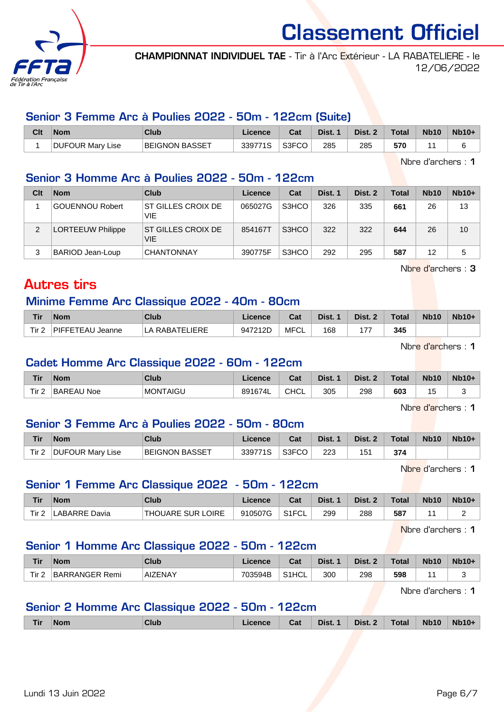

CHAMPIONNAT INDIVIDUEL TAE - Tir à l'Arc Extérieur - LA RABATELIERE - le 12/06/2022

#### Senior 3 Femme Arc à Poulies 2022 - 50m - 122cm (Suite)

| Clt | <b>Nom</b>       | Club                  | ∟icence | Cat   | Dist. | Dist. 2 | <b>Total</b> | <b>Nb10</b> | $Nb10+$ |
|-----|------------------|-----------------------|---------|-------|-------|---------|--------------|-------------|---------|
|     | DUFOUR Mary Lise | <b>BEIGNON BASSET</b> | 339771S | S3FCO | 285   | 285     | 570          |             |         |

Nbre d'archers : 1

#### Senior 3 Homme Arc à Poulies 2022 - 50m - 122cm

| Clt | <b>Nom</b>               | Club                      | Licence | Cat   | Dist. 1 | Dist. 2 | Total | <b>Nb10</b> | $Nb10+$ |
|-----|--------------------------|---------------------------|---------|-------|---------|---------|-------|-------------|---------|
|     | <b>GOUENNOU Robert</b>   | ST GILLES CROIX DE<br>VIE | 065027G | S3HCO | 326     | 335     | 661   | 26          | 13      |
| 2   | <b>LORTEEUW Philippe</b> | ST GILLES CROIX DE<br>VIE | 854167T | S3HCO | 322     | 322     | 644   | 26          | 10      |
|     | BARIOD Jean-Loup         | <b>CHANTONNAY</b>         | 390775F | S3HCO | 292     | 295     | 587   | 12          | 5       |

Nbre d'archers : 3

### Autres tirs

#### Minime Femme Arc Classique 2022 - 40m - 80cm

| <b>Tir</b> | <b>Nom</b>          | Club            | Licence | Cat  | Dist. | Dist. 2            | Total | <b>Nb10</b> | $Nb10+$ |
|------------|---------------------|-----------------|---------|------|-------|--------------------|-------|-------------|---------|
| Tir 2      | PIFFETEAU<br>Jeanne | I A RABATELIERE | 947212D | MFCL | 168   | .<br>$\mathcal{L}$ | 345   |             |         |

Nbre d'archers : 1

#### Cadet Homme Arc Classique 2022 - 60m - 122cm

| <b>Tir</b> | <b>Nom</b>        | <b>Club</b> | Licence | <b>Tab</b><br>ual | Dist. | Dist. $\lambda$ | <b>Total</b> | <b>Nb10</b> | $Nb10+$ |
|------------|-------------------|-------------|---------|-------------------|-------|-----------------|--------------|-------------|---------|
| Tir 2      | <b>BAREAU Noe</b> | MONTAIGU    | 891674L | <b>CHCL</b>       | 305   | 298             | 603          | ں ا         |         |

Nbre d'archers : 1

#### Senior 3 Femme Arc à Poulies 2022 - 50m - 80cm

| Tir  | <b>Nom</b>              | Club                  | ∟icence | $R_{\rm{orb}}$<br>∪dl | Dist. | Dist. | Total | <b>Nb10</b> | <b>Nb10+</b> |
|------|-------------------------|-----------------------|---------|-----------------------|-------|-------|-------|-------------|--------------|
| Tir. | <b>DUFOUR Mary Lise</b> | <b>BEIGNON BASSET</b> | 339771S | S3FCO                 | 223   | 151   | 374   |             |              |

Nbre d'archers : 1

#### Senior 1 Femme Arc Classique 2022 - 50m - 122cm

| Tir   | <b>Nom</b>    | Club                     | Licence | Cat                | Dist. | Dist. 2 | $\tau$ otal | <b>Nb10</b> | <b>Nb10+</b> |
|-------|---------------|--------------------------|---------|--------------------|-------|---------|-------------|-------------|--------------|
| Tir 2 | LABARRE Davia | <b>THOUARE SUR LOIRE</b> | 910507G | S <sub>1</sub> FCL | 299   | 288     | 587         |             |              |

Nbre d'archers : 1

#### Senior 1 Homme Arc Classique 2022 - 50m - 122cm

| Tir  | <b>Nom</b>               | Club           | .icence | ่ ∼ิ่ ระ<br>⊍d     | Dist. | Dist. | <b>Total</b> | <b>Nb10</b> | $Nb10+$ |
|------|--------------------------|----------------|---------|--------------------|-------|-------|--------------|-------------|---------|
| Tir. | <b>BARRANGER</b><br>Remi | <b>AIZENAY</b> | 703594B | S <sub>1</sub> HCL | 300   | 298   | 598          |             |         |

Nbre d'archers : 1

#### Senior 2 Homme Arc Classique 2022 - 50m - 122cm

|  | Tir | <b>Nom</b> | Club | icence | Cat | Dist.<br>$\mathbf{A}$ | Dist. | <b>Total</b> | <b>Nb10</b> | <b>Nb10</b> |
|--|-----|------------|------|--------|-----|-----------------------|-------|--------------|-------------|-------------|
|--|-----|------------|------|--------|-----|-----------------------|-------|--------------|-------------|-------------|